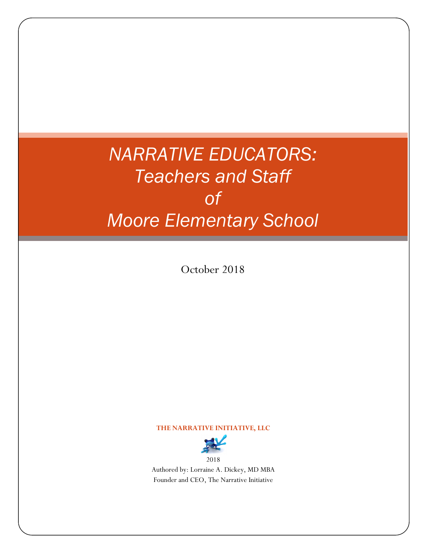## *NARRATIVE EDUCATORS: Teachers and Staff of Moore Elementary School*

October 2018

#### **THE NARRATIVE INITIATIVE, LLC**



Authored by: Lorraine A. Dickey, MD MBA Founder and CEO, The Narrative Initiative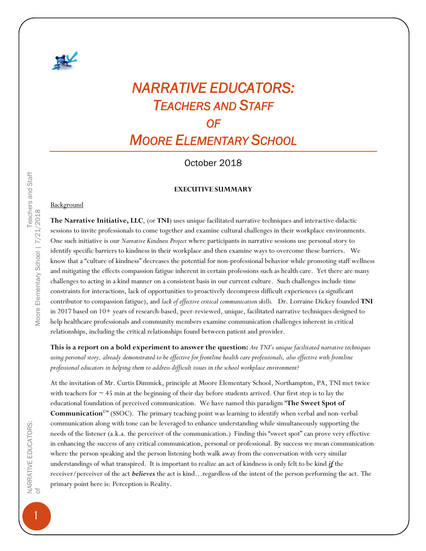

### *NARRATIVE EDUCATORS: TEACHERS AND STAFF*

*OF* 

*MOORE ELEMENTARY SCHOOL*

October 2018

#### **EXECUTIVE SUMMARY**

#### **Background**

**The Narrative Initiative, LLC**, (or **TNI**) uses unique facilitated narrative techniques and interactive didactic sessions to invite professionals to come together and examine cultural challenges in their workplace environments. One such initiative is our *Narrative Kindness Project* where participants in narrative sessions use personal story to identify specific barriers to kindness in their workplace and then examine ways to overcome these barriers. We know that a "culture of kindness" decreases the potential for non-professional behavior while promoting staff wellness and mitigating the effects compassion fatigue inherent in certain professions such as health care. Yet there are many challenges to acting in a kind manner on a consistent basis in our current culture. Such challenges include time constraints for interactions, lack of opportunities to proactively decompress difficult experiences (a significant contributor to compassion fatigue), and *lack of effective critical communication skills.* Dr. Lorraine Dickey founded **TNI**  in 2017 based on 10+ years of research-based, peer-reviewed, unique, facilitated narrative techniques designed to help healthcare professionals and community members examine communication challenges inherent in critical relationships, including the critical relationships found between patient and provider.

**This is a report on a bold experiment to answer the question:** *Are TNI's unique facilitated narrative techniques using personal story, already demonstrated to be effective for frontline health care professionals, also effective with frontline professional educators in helping them to address difficult issues in the school workplace environment?* 

At the invitation of Mr. Curtis Dimmick, principle at Moore Elementary School, Northampton, PA, TNI met twice with teachers for  $\sim$  45 min at the beginning of their day before students arrived. Our first step is to lay the educational foundation of perceived communication. We have named this paradigm "**The Sweet Spot of Communication©**" (SSOC). The primary teaching point was learning to identify when verbal and non-verbal communication along with tone can be leveraged to enhance understanding while simultaneously supporting the needs of the listener (a.k.a. the perceiver of the communication.) Finding this "sweet spot" can prove very effective in enhancing the success of any critical communication, personal or professional. By success we mean communication where the person speaking and the person listening both walk away from the conversation with very similar understandings of what transpired. It is important to realize an act of kindness is only felt to be kind *if* the receiver/perceiver of the act *believes* the act is kind…regardless of the intent of the person performing the act. The primary point here is: Perception is Reality.

1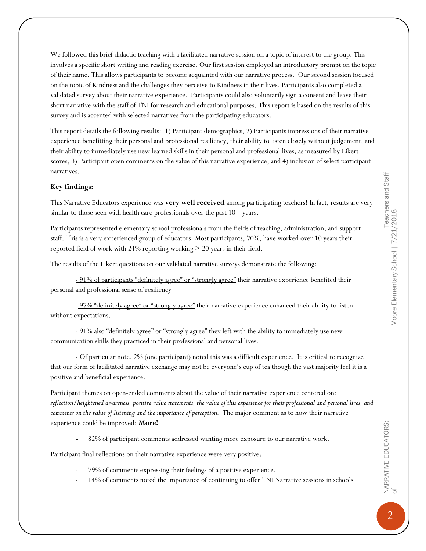We followed this brief didactic teaching with a facilitated narrative session on a topic of interest to the group. This involves a specific short writing and reading exercise. Our first session employed an introductory prompt on the topic of their name. This allows participants to become acquainted with our narrative process. Our second session focused on the topic of Kindness and the challenges they perceive to Kindness in their lives. Participants also completed a validated survey about their narrative experience. Participants could also voluntarily sign a consent and leave their short narrative with the staff of TNI for research and educational purposes. This report is based on the results of this survey and is accented with selected narratives from the participating educators.

This report details the following results: 1) Participant demographics, 2) Participants impressions of their narrative experience benefitting their personal and professional resiliency, their ability to listen closely without judgement, and their ability to immediately use new learned skills in their personal and professional lives, as measured by Likert scores, 3) Participant open comments on the value of this narrative experience, and 4) inclusion of select participant narratives.

#### **Key findings:**

This Narrative Educators experience was **very well received** among participating teachers! In fact, results are very similar to those seen with health care professionals over the past  $10+$  years.

Participants represented elementary school professionals from the fields of teaching, administration, and support staff. This is a very experienced group of educators. Most participants, 70%, have worked over 10 years their reported field of work with 24% reporting working > 20 years in their field.

The results of the Likert questions on our validated narrative surveys demonstrate the following:

- 91% of participants "definitely agree" or "strongly agree" their narrative experience benefited their personal and professional sense of resiliency

- 97% "definitely agree" or "strongly agree" their narrative experience enhanced their ability to listen without expectations.

- 91% also "definitely agree" or "strongly agree" they left with the ability to immediately use new communication skills they practiced in their professional and personal lives.

- Of particular note, 2% (one participant) noted this was a difficult experience. It is critical to recognize that our form of facilitated narrative exchange may not be everyone's cup of tea though the vast majority feel it is a positive and beneficial experience.

Participant themes on open-ended comments about the value of their narrative experience centered on: *reflection/heightened awareness, positive value statements, the value of this experience for their professional and personal lives, and comments on the value of listening and the importance of perception.* The major comment as to how their narrative experience could be improved: **More!**

**-** 82% of participant comments addressed wanting more exposure to our narrative work.

Participant final reflections on their narrative experience were very positive:

- 79% of comments expressing their feelings of a positive experience.
- 14% of comments noted the importance of continuing to offer TNI Narrative sessions in schools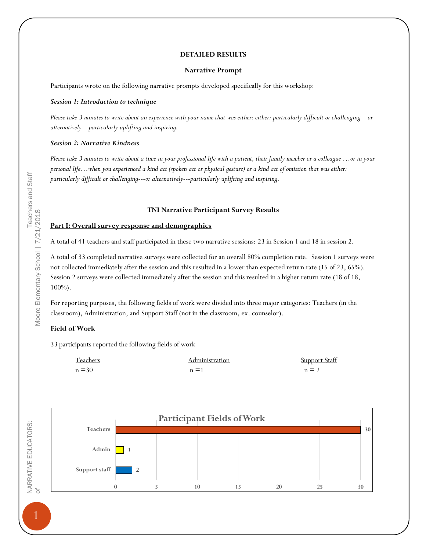#### **DETAILED RESULTS**

#### **Narrative Prompt**

Participants wrote on the following narrative prompts developed specifically for this workshop:

#### *Session 1: Introduction to technique*

*Please take 3 minutes to write about an experience with your name that was either: either: particularly difficult or challenging---or alternatively---particularly uplifting and inspiring.*

#### *Session 2: Narrative Kindness*

*Please take 3 minutes to write about a time in your professional life with a patient, their family member or a colleague …or in your personal life…when you experienced a kind act (spoken act or physical gesture) or a kind act of omission that was either: particularly difficult or challenging---or alternatively---particularly uplifting and inspiring.*

#### **TNI Narrative Participant Survey Results**

#### **Part I: Overall survey response and demographics**

A total of 41 teachers and staff participated in these two narrative sessions: 23 in Session 1 and 18 in session 2.

A total of 33 completed narrative surveys were collected for an overall 80% completion rate. Session 1 surveys were not collected immediately after the session and this resulted in a lower than expected return rate (15 of 23, 65%). Session 2 surveys were collected immediately after the session and this resulted in a higher return rate (18 of 18, 100%).

For reporting purposes, the following fields of work were divided into three major categories: Teachers (in the classroom), Administration, and Support Staff (not in the classroom, ex. counselor).

#### **Field of Work**

33 participants reported the following fields of work

| Teachers      | <b>Administration</b> | Support Staff |
|---------------|-----------------------|---------------|
| $n \equiv 30$ | $n \equiv 1$          | $n \equiv 2$  |



Teachers and Staff<br>Moore Elementary School | 7/21/2018 of Moore Elementary School | 7/21/2018

1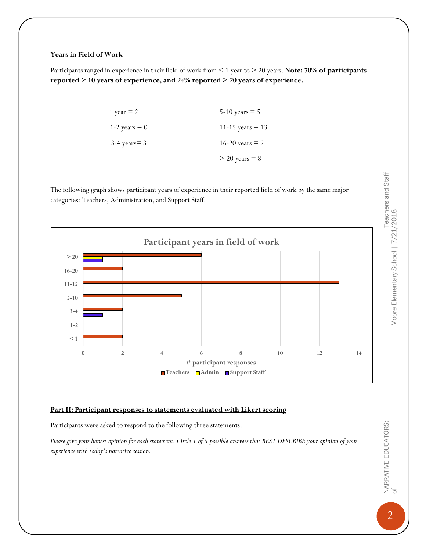#### **Years in Field of Work**

Participants ranged in experience in their field of work from < 1 year to > 20 years. **Note: 70% of participants reported > 10 years of experience, and 24% reported > 20 years of experience.**

| 1 year $= 2$      | $5 - 10$ years $= 5$ |
|-------------------|----------------------|
| 1-2 years $= 0$   | 11-15 years $=$ 13   |
| $3-4$ years $= 3$ | 16-20 years $= 2$    |
|                   | $>$ 20 years = 8     |

The following graph shows participant years of experience in their reported field of work by the same major categories: Teachers, Administration, and Support Staff.



#### **Part II: Participant responses to statements evaluated with Likert scoring**

Participants were asked to respond to the following three statements:

*Please give your honest opinion for each statement. Circle 1 of 5 possible answers that BEST DESCRIBE your opinion of your experience with today's narrative session.*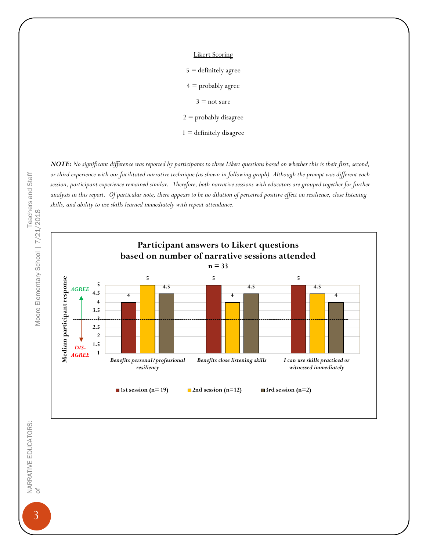Likert Scoring  $5 =$  definitely agree  $4$  = probably agree  $3$  = not sure  $2 =$  probably disagree  $1 =$  definitely disagree

*NOTE: No significant difference was reported by participants to three Likert questions based on whether this is their first, second, or third experience with our facilitated narrative technique (as shown in following graph). Although the prompt was different each session, participant experience remained similar. Therefore, both narrative sessions with educators are grouped together for further analysis in this report. Of particular note, there appears to be no dilution of perceived positive effect on resilience, close listening skills, and ability to use skills learned immediately with repeat attendance.* 



Teachers and Staff<br>Moore Elementary School | 7/21/2018 of Moore Elementary School | 7/21/2018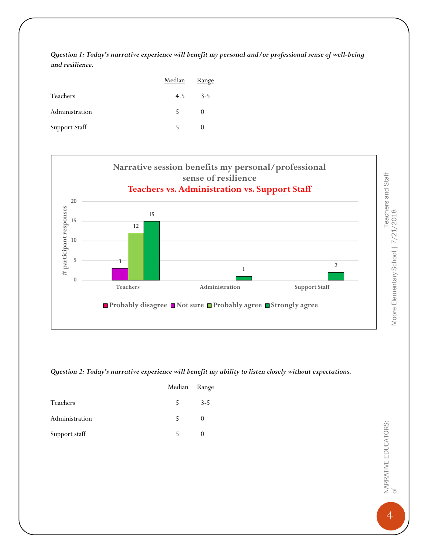*Question 1: Today's narrative experience will benefit my personal and/or professional sense of well-being and resilience.*

|                      | Median | <u>Range</u> |
|----------------------|--------|--------------|
| Teachers             | 4.5    | $3 - 5$      |
| Administration       | 5      | $\theta$     |
| <b>Support Staff</b> |        |              |



*Question 2: Today's narrative experience will benefit my ability to listen closely without expectations.*

|                | Median | Range   |
|----------------|--------|---------|
| Teachers       | 5      | $3 - 5$ |
| Administration |        |         |
| Support staff  |        |         |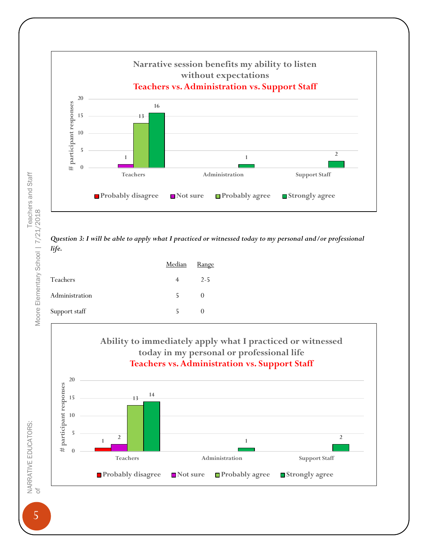

*Question 3: I will be able to apply what I practiced or witnessed today to my personal and/or professional life.*

|                | Median | <b>Range</b>     |
|----------------|--------|------------------|
| Teachers       |        | $2 - 5$          |
| Administration | 5      | $\theta$         |
| Support staff  |        | $\left( \right)$ |



Teachers and Staff<br>Moore Elementary School | 7/21/2018 NARRATIVE EDUCATORS: Teachers and Staff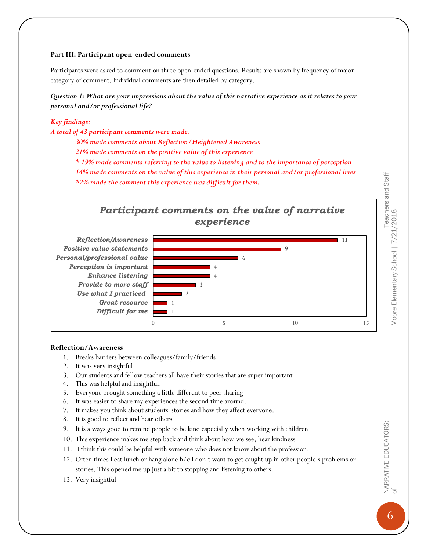#### **Part III: Participant open-ended comments**

Participants were asked to comment on three open-ended questions. Results are shown by frequency of major category of comment. Individual comments are then detailed by category.

*Question 1: What are your impressions about the value of this narrative experience as it relates to your personal and/or professional life?*

#### *Key findings:*

*A total of 43 participant comments were made.*

*30% made comments about Reflection/Heightened Awareness*

*21% made comments on the positive value of this experience*

*\* 19% made comments referring to the value to listening and to the importance of perception*

*14% made comments on the value of this experience in their personal and/or professional lives \*2% made the comment this experience was difficult for them.* 



#### **Reflection/Awareness**

- 1. Breaks barriers between colleagues/family/friends
- 2. It was very insightful
- 3. Our students and fellow teachers all have their stories that are super important
- 4. This was helpful and insightful.
- 5. Everyone brought something a little different to peer sharing
- 6. It was easier to share my experiences the second time around.
- 7. It makes you think about students' stories and how they affect everyone.
- 8. It is good to reflect and hear others
- 9. It is always good to remind people to be kind especially when working with children
- 10. This experience makes me step back and think about how we see, hear kindness
- 11. I think this could be helpful with someone who does not know about the profession.
- 12. Often times I eat lunch or hang alone b/c I don't want to get caught up in other people's problems or stories. This opened me up just a bit to stopping and listening to others.
- 13. Very insightful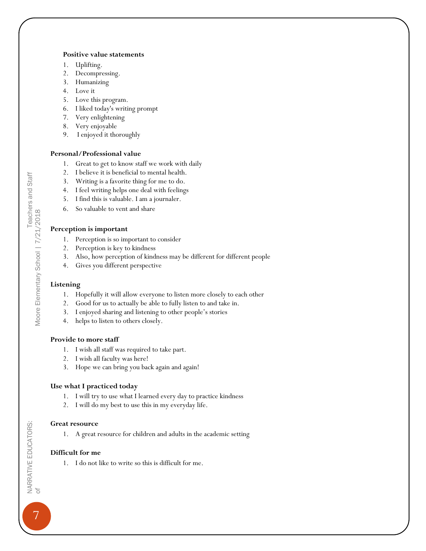#### **Positive value statements**

- 1. Uplifting.
- 2. Decompressing.
- 3. Humanizing
- 4. Love it
- 5. Love this program.
- 6. I liked today's writing prompt
- 7. Very enlightening
- 8. Very enjoyable
- 9. I enjoyed it thoroughly

#### **Personal/Professional value**

- 1. Great to get to know staff we work with daily
- 2. I believe it is beneficial to mental health.
- 3. Writing is a favorite thing for me to do.
- 4. I feel writing helps one deal with feelings
- 5. I find this is valuable. I am a journaler.
- 6. So valuable to vent and share

#### **Perception is important**

- 1. Perception is so important to consider
- 2. Perception is key to kindness
- 3. Also, how perception of kindness may be different for different people
- 4. Gives you different perspective

#### **Listening**

- 1. Hopefully it will allow everyone to listen more closely to each other
- 2. Good for us to actually be able to fully listen to and take in.
- 3. I enjoyed sharing and listening to other people's stories
- 4. helps to listen to others closely.

#### **Provide to more staff**

- 1. I wish all staff was required to take part.
- 2. I wish all faculty was here!
- 3. Hope we can bring you back again and again!

#### **Use what I practiced today**

- 1. I will try to use what I learned every day to practice kindness
- 2. I will do my best to use this in my everyday life.

#### **Great resource**

1. A great resource for children and adults in the academic setting

#### **Difficult for me**

1. I do not like to write so this is difficult for me.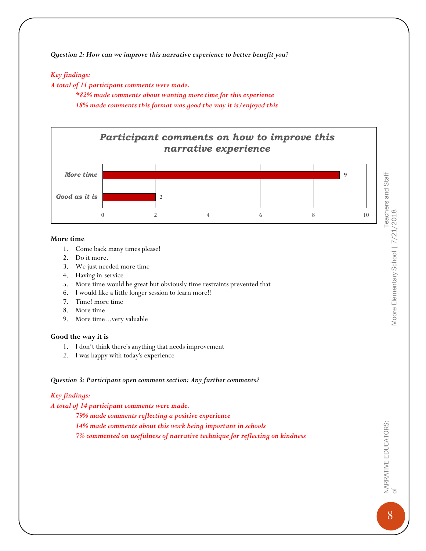*Question 2: How can we improve this narrative experience to better benefit you?*

#### *Key findings:*

*A total of 11 participant comments were made.*

*\*82% made comments about wanting more time for this experience 18% made comments this format was good the way it is/enjoyed this*



#### **More time**

- 1. Come back many times please!
- 2. Do it more.
- 3. We just needed more time
- 4. Having in-service
- 5. More time would be great but obviously time restraints prevented that
- 6. I would like a little longer session to learn more!!
- 7. Time! more time
- 8. More time
- 9. More time...very valuable

#### **Good the way it is**

- 1. I don't think there's anything that needs improvement
- *2.* I was happy with today's experience

#### *Question 3: Participant open comment section: Any further comments?*

#### *Key findings:*

#### *A total of 14 participant comments were made.*

*79% made comments reflecting a positive experience 14% made comments about this work being important in schools 7% commented on usefulness of narrative technique for reflecting on kindness* NARRATIVE EDUCATORS:  $\infty$  Marrative Educators: Moore Elementary School | 7/21/2018 Moore Elementary School | 7/21/2018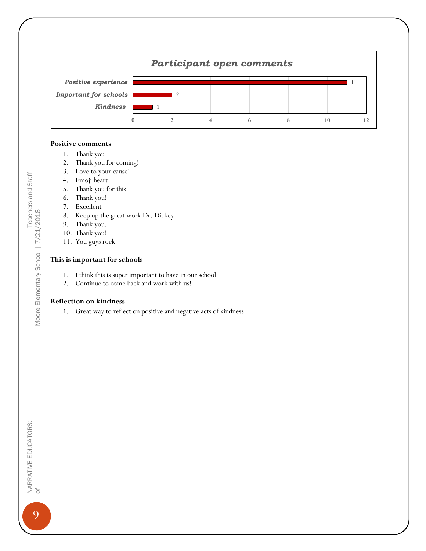

#### **Positive comments**

- 1. Thank you
- 2. Thank you for coming!
- 3. Love to your cause!
- 4. Emoji heart
- 5. Thank you for this!
- 6. Thank you!
- 7. Excellent
- 8. Keep up the great work Dr. Dickey
- 9. Thank you.
- 10. Thank you!
- 11. You guys rock!

#### **This is important for schools**

- 1. I think this is super important to have in our school
- 2. Continue to come back and work with us!

#### **Reflection on kindness**

Teachers and Staff<br>Moore Elementary School |  $7/21/2018$ NARRATIVE EDUCATORS: Teachers and Staff of Moore Elementary School | 7/21/2018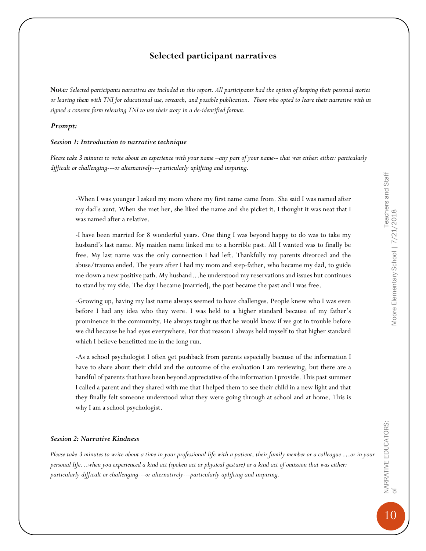Teachers and Staff

#### **Selected participant narratives**

**Note***: Selected participants narratives are included in this report. All participants had the option of keeping their personal stories or leaving them with TNI for educational use, research, and possible publication. Those who opted to leave their narrative with us signed a consent form releasing TNI to use their story in a de-identified format.*

#### *Prompt:*

#### *Session 1: Introduction to narrative technique*

*Please take 3 minutes to write about an experience with your name –any part of your name-- that was either: either: particularly difficult or challenging---or alternatively---particularly uplifting and inspiring.*

-When I was younger I asked my mom where my first name came from. She said I was named after my dad's aunt. When she met her, she liked the name and she picket it. I thought it was neat that I was named after a relative.

-I have been married for 8 wonderful years. One thing I was beyond happy to do was to take my husband's last name. My maiden name linked me to a horrible past. All I wanted was to finally be free. My last name was the only connection I had left. Thankfully my parents divorced and the abuse/trauma ended. The years after I had my mom and step-father, who became my dad, to guide me down a new positive path. My husband…he understood my reservations and issues but continues to stand by my side. The day I became [married], the past became the past and I was free.

-Growing up, having my last name always seemed to have challenges. People knew who I was even before I had any idea who they were. I was held to a higher standard because of my father's prominence in the community. He always taught us that he would know if we got in trouble before we did because he had eyes everywhere. For that reason I always held myself to that higher standard which I believe benefitted me in the long run.

-As a school psychologist I often get pushback from parents especially because of the information I have to share about their child and the outcome of the evaluation I am reviewing, but there are a handful of parents that have been beyond appreciative of the information I provide. This past summer I called a parent and they shared with me that I helped them to see their child in a new light and that they finally felt someone understood what they were going through at school and at home. This is why I am a school psychologist.

#### *Session 2: Narrative Kindness*

*Please take 3 minutes to write about a time in your professional life with a patient, their family member or a colleague ...or in your personal life…when you experienced a kind act (spoken act or physical gesture) or a kind act of omission that was either: particularly difficult or challenging---or alternatively---particularly uplifting and inspiring.*